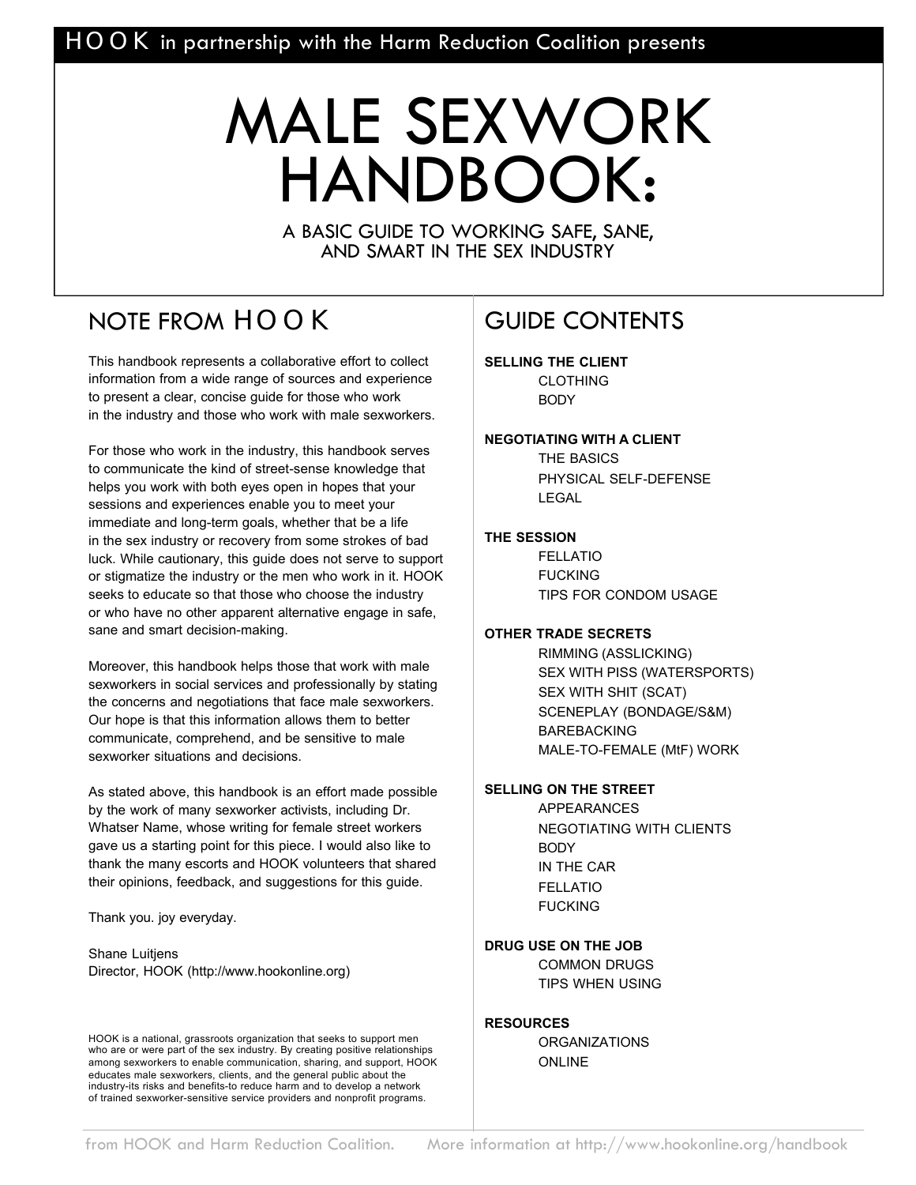# MALE SEXWORK HANDBOOK:

A BASIC GUIDE TO WORKING SAFE, SANE, AND SMART IN THE SEX INDUSTRY

### NOTE FROM HOOK

This handbook represents a collaborative effort to collect information from a wide range of sources and experience to present a clear, concise guide for those who work in the industry and those who work with male sexworkers.

For those who work in the industry, this handbook serves to communicate the kind of street-sense knowledge that helps you work with both eyes open in hopes that your sessions and experiences enable you to meet your immediate and long-term goals, whether that be a life in the sex industry or recovery from some strokes of bad luck. While cautionary, this guide does not serve to support or stigmatize the industry or the men who work in it. HOOK seeks to educate so that those who choose the industry or who have no other apparent alternative engage in safe, sane and smart decision-making.

Moreover, this handbook helps those that work with male sexworkers in social services and professionally by stating the concerns and negotiations that face male sexworkers. Our hope is that this information allows them to better communicate, comprehend, and be sensitive to male sexworker situations and decisions.

As stated above, this handbook is an effort made possible by the work of many sexworker activists, including Dr. Whatser Name, whose writing for female street workers gave us a starting point for this piece. I would also like to thank the many escorts and HOOK volunteers that shared their opinions, feedback, and suggestions for this guide.

Thank you. joy everyday.

Shane Luitjens Director, HOOK (http://www.hookonline.org)

HOOK is a national, grassroots organization that seeks to support men who are or were part of the sex industry. By creating positive relationships among sexworkers to enable communication, sharing, and support, HOOK educates male sexworkers, clients, and the general public about the industry-its risks and benefits-to reduce harm and to develop a network of trained sexworker-sensitive service providers and nonprofit programs.

### GUIDE CONTENTS

**SELLING THE CLIENT** CLOTHING **BODY** 

#### **NEGOTIATING WITH A CLIENT**

THE BASICS PHYSICAL SELF-DEFENSE **LEGAL** 

#### **THE SESSION**

FELLATIO FUCKING TIPS FOR CONDOM USAGE

#### **OTHER TRADE SECRETS**

RIMMING (ASSLICKING) SEX WITH PISS (WATERSPORTS) SEX WITH SHIT (SCAT) SCENEPLAY (BONDAGE/S&M) BAREBACKING MALE-TO-FEMALE (MtF) WORK

#### **SELLING ON THE STREET**

APPEARANCES NEGOTIATING WITH CLIENTS **BODY** IN THE CAR FELLATIO FUCKING

#### **DRUG USE ON THE JOB**

COMMON DRUGS TIPS WHEN USING

#### **RESOURCES**

**ORGANIZATIONS** ONLINE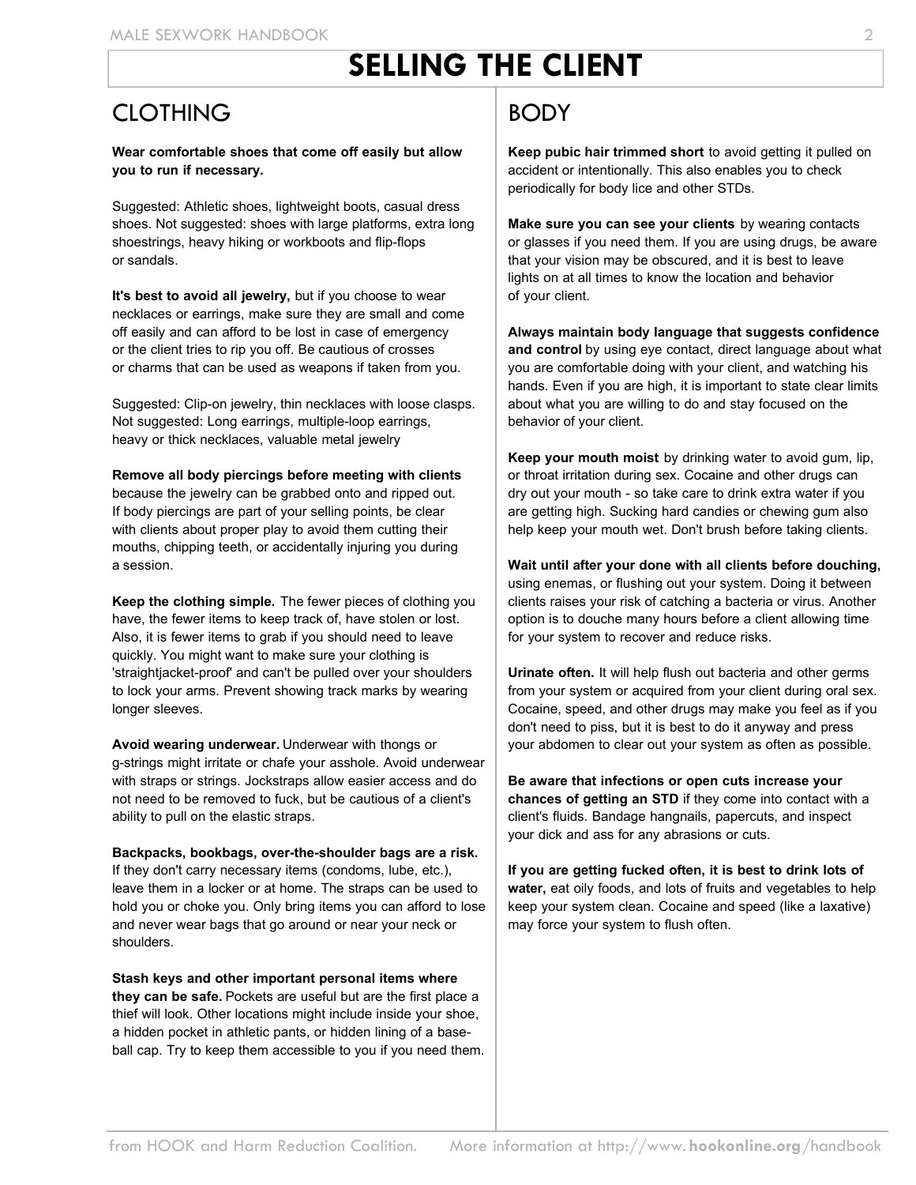# **SELLING THE CLIENT**

#### CLOTHING

#### **Wear comfortable shoes that come off easily but allow you to run if necessary.**

Suggested: Athletic shoes, lightweight boots, casual dress shoes. Not suggested: shoes with large platforms, extra long shoestrings, heavy hiking or workboots and flip-flops or sandals.

**It's best to avoid all jewelry,** but if you choose to wear necklaces or earrings, make sure they are small and come off easily and can afford to be lost in case of emergency or the client tries to rip you off. Be cautious of crosses or charms that can be used as weapons if taken from you.

Suggested: Clip-on jewelry, thin necklaces with loose clasps. Not suggested: Long earrings, multiple-loop earrings, heavy or thick necklaces, valuable metal jewelry

#### **Remove all body piercings before meeting with clients**

because the jewelry can be grabbed onto and ripped out. If body piercings are part of your selling points, be clear with clients about proper play to avoid them cutting their mouths, chipping teeth, or accidentally injuring you during a session.

**Keep the clothing simple.** The fewer pieces of clothing you have, the fewer items to keep track of, have stolen or lost. Also, it is fewer items to grab if you should need to leave quickly. You might want to make sure your clothing is 'straightjacket-proof' and can't be pulled over your shoulders to lock your arms. Prevent showing track marks by wearing longer sleeves.

**Avoid wearing underwear.** Underwear with thongs or g-strings might irritate or chafe your asshole. Avoid underwear with straps or strings. Jockstraps allow easier access and do not need to be removed to fuck, but be cautious of a client's ability to pull on the elastic straps.

**Backpacks, bookbags, over-the-shoulder bags are a risk.**  If they don't carry necessary items (condoms, lube, etc.), leave them in a locker or at home. The straps can be used to hold you or choke you. Only bring items you can afford to lose and never wear bags that go around or near your neck or shoulders.

**Stash keys and other important personal items where they can be safe.** Pockets are useful but are the first place a thief will look. Other locations might include inside your shoe, a hidden pocket in athletic pants, or hidden lining of a baseball cap. Try to keep them accessible to you if you need them.

### **BODY**

**Keep pubic hair trimmed short** to avoid getting it pulled on accident or intentionally. This also enables you to check periodically for body lice and other STDs.

**Make sure you can see your clients** by wearing contacts or glasses if you need them. If you are using drugs, be aware that your vision may be obscured, and it is best to leave lights on at all times to know the location and behavior of your client.

**Always maintain body language that suggests confidence and control** by using eye contact, direct language about what you are comfortable doing with your client, and watching his hands. Even if you are high, it is important to state clear limits about what you are willing to do and stay focused on the behavior of your client.

**Keep your mouth moist** by drinking water to avoid gum, lip, or throat irritation during sex. Cocaine and other drugs can dry out your mouth - so take care to drink extra water if you are getting high. Sucking hard candies or chewing gum also help keep your mouth wet. Don't brush before taking clients.

**Wait until after your done with all clients before douching,**  using enemas, or flushing out your system. Doing it between clients raises your risk of catching a bacteria or virus. Another option is to douche many hours before a client allowing time for your system to recover and reduce risks.

**Urinate often.** It will help flush out bacteria and other germs from your system or acquired from your client during oral sex. Cocaine, speed, and other drugs may make you feel as if you don't need to piss, but it is best to do it anyway and press your abdomen to clear out your system as often as possible.

**Be aware that infections or open cuts increase your chances of getting an STD** if they come into contact with a client's fluids. Bandage hangnails, papercuts, and inspect your dick and ass for any abrasions or cuts.

**If you are getting fucked often, it is best to drink lots of water,** eat oily foods, and lots of fruits and vegetables to help keep your system clean. Cocaine and speed (like a laxative) may force your system to flush often.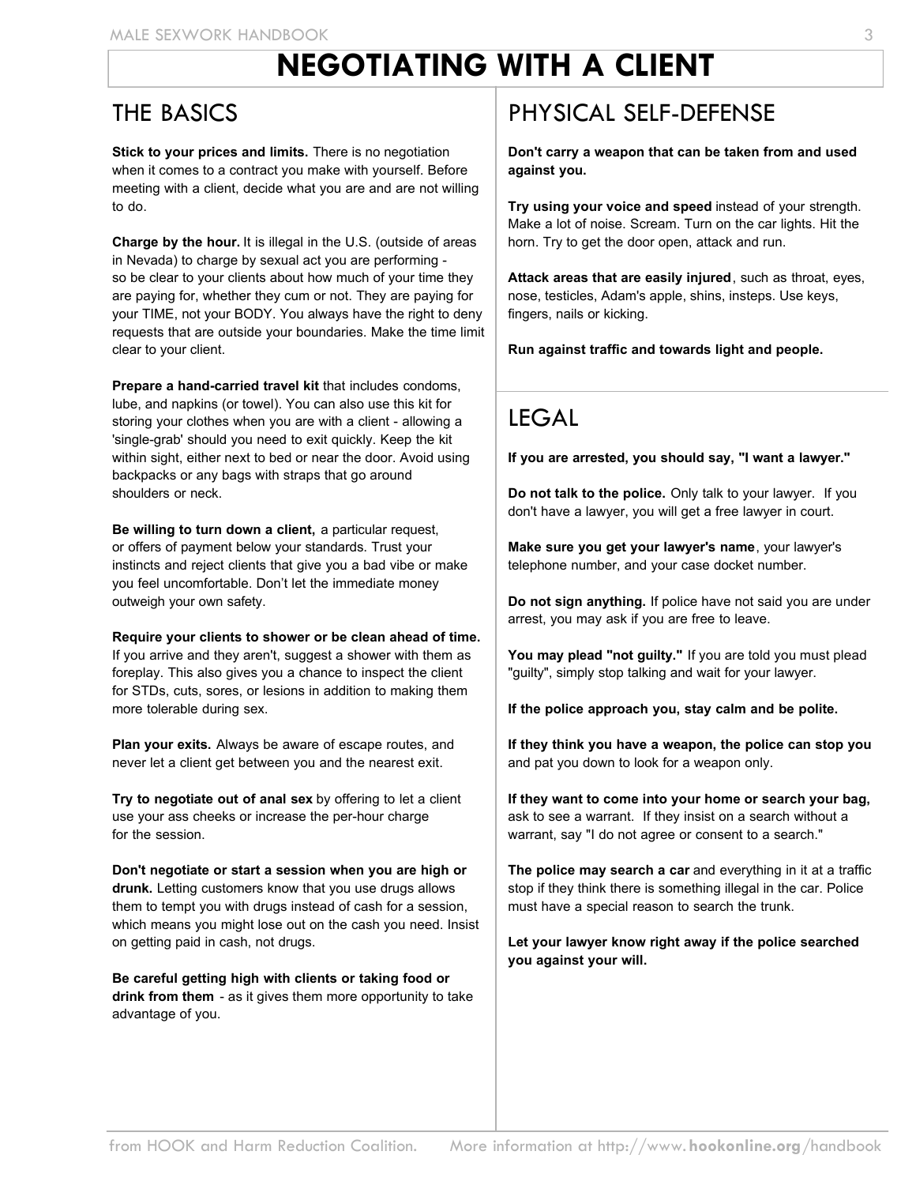# **NEGOTIATING WITH A CLIENT**

#### THE BASICS

**Stick to your prices and limits.** There is no negotiation when it comes to a contract you make with yourself. Before meeting with a client, decide what you are and are not willing to do.

**Charge by the hour.** It is illegal in the U.S. (outside of areas in Nevada) to charge by sexual act you are performing so be clear to your clients about how much of your time they are paying for, whether they cum or not. They are paying for your TIME, not your BODY. You always have the right to deny requests that are outside your boundaries. Make the time limit clear to your client.

**Prepare a hand-carried travel kit** that includes condoms, lube, and napkins (or towel). You can also use this kit for storing your clothes when you are with a client - allowing a 'single-grab' should you need to exit quickly. Keep the kit within sight, either next to bed or near the door. Avoid using backpacks or any bags with straps that go around shoulders or neck.

**Be willing to turn down a client,** a particular request, or offers of payment below your standards. Trust your instincts and reject clients that give you a bad vibe or make you feel uncomfortable. Don't let the immediate money outweigh your own safety.

**Require your clients to shower or be clean ahead of time.**  If you arrive and they aren't, suggest a shower with them as foreplay. This also gives you a chance to inspect the client for STDs, cuts, sores, or lesions in addition to making them more tolerable during sex.

**Plan your exits.** Always be aware of escape routes, and never let a client get between you and the nearest exit.

**Try to negotiate out of anal sex** by offering to let a client use your ass cheeks or increase the per-hour charge for the session.

**Don't negotiate or start a session when you are high or drunk.** Letting customers know that you use drugs allows them to tempt you with drugs instead of cash for a session, which means you might lose out on the cash you need. Insist on getting paid in cash, not drugs.

**Be careful getting high with clients or taking food or drink from them** - as it gives them more opportunity to take advantage of you.

### PHYSICAL SELF-DEFENSE

**Don't carry a weapon that can be taken from and used against you.**

**Try using your voice and speed** instead of your strength. Make a lot of noise. Scream. Turn on the car lights. Hit the horn. Try to get the door open, attack and run.

**Attack areas that are easily injured**, such as throat, eyes, nose, testicles, Adam's apple, shins, insteps. Use keys, fingers, nails or kicking.

**Run against traffic and towards light and people.**

### **LEGAL**

**If you are arrested, you should say, "I want a lawyer."**

**Do not talk to the police.** Only talk to your lawyer. If you don't have a lawyer, you will get a free lawyer in court.

**Make sure you get your lawyer's name**, your lawyer's telephone number, and your case docket number.

**Do not sign anything.** If police have not said you are under arrest, you may ask if you are free to leave.

**You may plead "not guilty."** If you are told you must plead "guilty", simply stop talking and wait for your lawyer.

**If the police approach you, stay calm and be polite.** 

**If they think you have a weapon, the police can stop you** and pat you down to look for a weapon only.

**If they want to come into your home or search your bag,** ask to see a warrant. If they insist on a search without a warrant, say "I do not agree or consent to a search."

**The police may search a car** and everything in it at a traffic stop if they think there is something illegal in the car. Police must have a special reason to search the trunk.

**Let your lawyer know right away if the police searched you against your will.**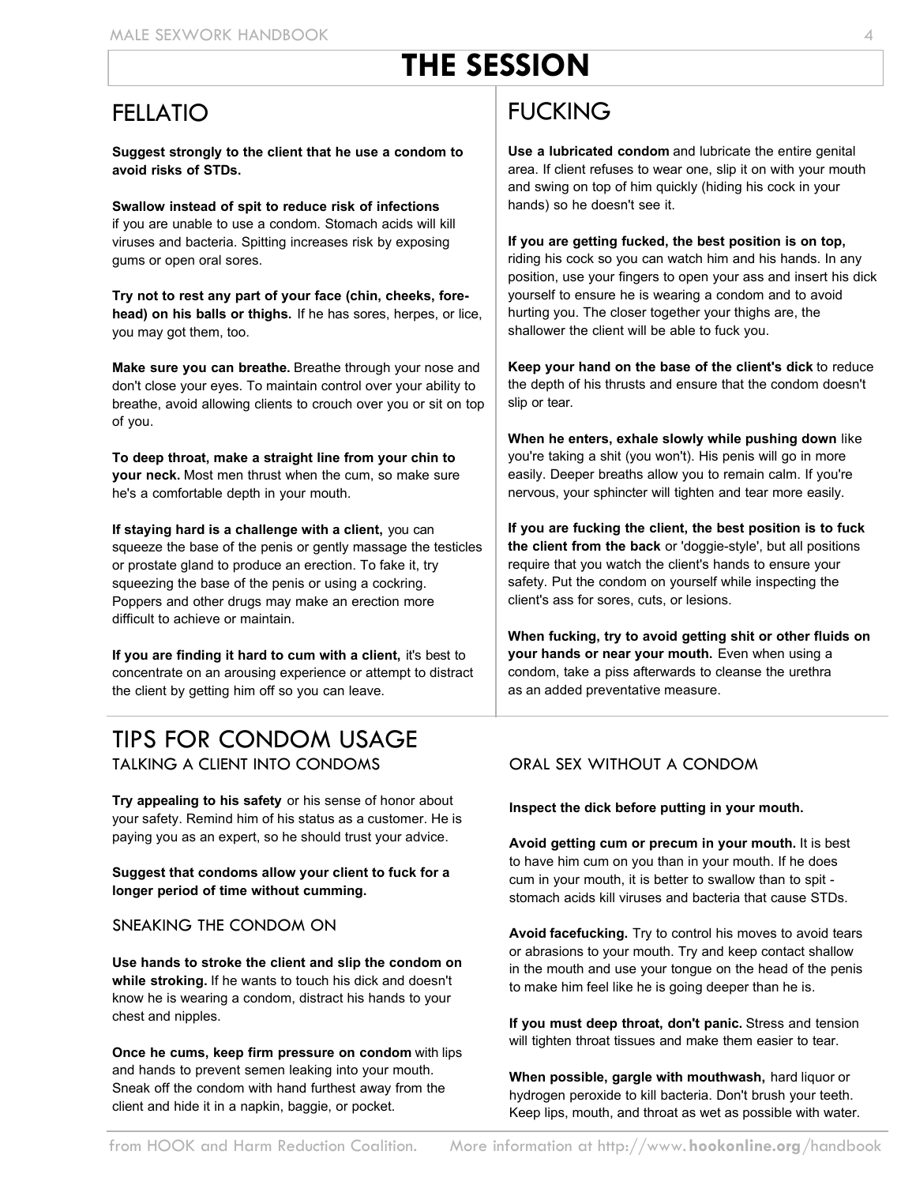# **THE SESSION**

### FELLATIO

**Suggest strongly to the client that he use a condom to avoid risks of STDs.**

**Swallow instead of spit to reduce risk of infections** if you are unable to use a condom. Stomach acids will kill viruses and bacteria. Spitting increases risk by exposing gums or open oral sores.

**Try not to rest any part of your face (chin, cheeks, forehead) on his balls or thighs.** If he has sores, herpes, or lice, you may got them, too.

**Make sure you can breathe.** Breathe through your nose and don't close your eyes. To maintain control over your ability to breathe, avoid allowing clients to crouch over you or sit on top of you.

**To deep throat, make a straight line from your chin to your neck.** Most men thrust when the cum, so make sure he's a comfortable depth in your mouth.

**If staying hard is a challenge with a client,** you can squeeze the base of the penis or gently massage the testicles or prostate gland to produce an erection. To fake it, try squeezing the base of the penis or using a cockring. Poppers and other drugs may make an erection more difficult to achieve or maintain.

**If you are finding it hard to cum with a client,** it's best to concentrate on an arousing experience or attempt to distract the client by getting him off so you can leave.

#### TIPS FOR CONDOM USAGE TALKING A CLIENT INTO CONDOMS

**Try appealing to his safety** or his sense of honor about your safety. Remind him of his status as a customer. He is paying you as an expert, so he should trust your advice.

**Suggest that condoms allow your client to fuck for a longer period of time without cumming.**

#### SNEAKING THE CONDOM ON

**Use hands to stroke the client and slip the condom on while stroking.** If he wants to touch his dick and doesn't know he is wearing a condom, distract his hands to your chest and nipples.

**Once he cums, keep firm pressure on condom** with lips and hands to prevent semen leaking into your mouth. Sneak off the condom with hand furthest away from the client and hide it in a napkin, baggie, or pocket.

### FUCKING

**Use a lubricated condom** and lubricate the entire genital area. If client refuses to wear one, slip it on with your mouth and swing on top of him quickly (hiding his cock in your hands) so he doesn't see it.

**If you are getting fucked, the best position is on top,** riding his cock so you can watch him and his hands. In any position, use your fingers to open your ass and insert his dick yourself to ensure he is wearing a condom and to avoid hurting you. The closer together your thighs are, the shallower the client will be able to fuck you.

**Keep your hand on the base of the client's dick** to reduce the depth of his thrusts and ensure that the condom doesn't slip or tear.

**When he enters, exhale slowly while pushing down** like you're taking a shit (you won't). His penis will go in more easily. Deeper breaths allow you to remain calm. If you're nervous, your sphincter will tighten and tear more easily.

**If you are fucking the client, the best position is to fuck the client from the back** or 'doggie-style', but all positions require that you watch the client's hands to ensure your safety. Put the condom on yourself while inspecting the client's ass for sores, cuts, or lesions.

**When fucking, try to avoid getting shit or other fluids on your hands or near your mouth.** Even when using a condom, take a piss afterwards to cleanse the urethra as an added preventative measure.

#### ORAL SEX WITHOUT A CONDOM

**Inspect the dick before putting in your mouth.** 

**Avoid getting cum or precum in your mouth.** It is best to have him cum on you than in your mouth. If he does cum in your mouth, it is better to swallow than to spit stomach acids kill viruses and bacteria that cause STDs.

**Avoid facefucking.** Try to control his moves to avoid tears or abrasions to your mouth. Try and keep contact shallow in the mouth and use your tongue on the head of the penis to make him feel like he is going deeper than he is.

**If you must deep throat, don't panic.** Stress and tension will tighten throat tissues and make them easier to tear.

**When possible, gargle with mouthwash,** hard liquor or hydrogen peroxide to kill bacteria. Don't brush your teeth. Keep lips, mouth, and throat as wet as possible with water.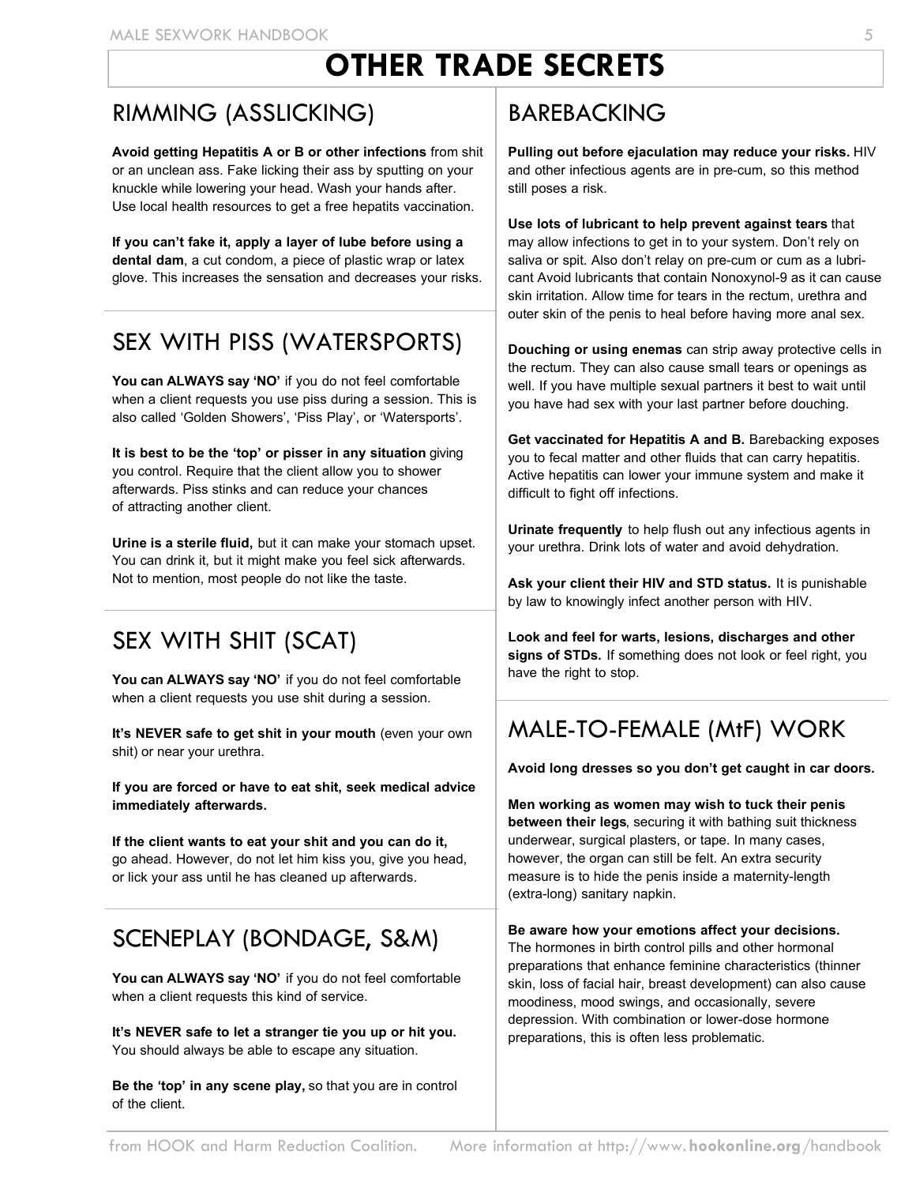# **OTHER TRADE SECRETS**

### RIMMING (ASSLICKING)

**Avoid getting Hepatitis A or B or other infections** from shit or an unclean ass. Fake licking their ass by sputting on your knuckle while lowering your head. Wash your hands after. Use local health resources to get a free hepatits vaccination.

**If you can't fake it, apply a layer of lube before using a dental dam**, a cut condom, a piece of plastic wrap or latex glove. This increases the sensation and decreases your risks.

### SEX WITH PISS (WATERSPORTS)

You can ALWAYS say 'NO' if you do not feel comfortable when a client requests you use piss during a session. This is also called 'Golden Showers', 'Piss Play', or 'Watersports'.

**It is best to be the 'top' or pisser in any situation** giving you control. Require that the client allow you to shower afterwards. Piss stinks and can reduce your chances of attracting another client.

**Urine is a sterile fluid,** but it can make your stomach upset. You can drink it, but it might make you feel sick afterwards. Not to mention, most people do not like the taste.

### SEX WITH SHIT (SCAT)

You can ALWAYS say 'NO' if you do not feel comfortable when a client requests you use shit during a session.

**It's NEVER safe to get shit in your mouth** (even your own shit) or near your urethra.

**If you are forced or have to eat shit, seek medical advice immediately afterwards.**

**If the client wants to eat your shit and you can do it,** go ahead. However, do not let him kiss you, give you head, or lick your ass until he has cleaned up afterwards.

### SCENEPLAY (BONDAGE, S&M)

**You can ALWAYS say 'NO'** if you do not feel comfortable when a client requests this kind of service.

**It's NEVER safe to let a stranger tie you up or hit you.** You should always be able to escape any situation.

**Be the 'top' in any scene play,** so that you are in control of the client.

### BAREBACKING

**Pulling out before ejaculation may reduce your risks.** HIV and other infectious agents are in pre-cum, so this method still poses a risk.

**Use lots of lubricant to help prevent against tears** that may allow infections to get in to your system. Don't rely on saliva or spit. Also don't relay on pre-cum or cum as a lubricant Avoid lubricants that contain Nonoxynol-9 as it can cause skin irritation. Allow time for tears in the rectum, urethra and outer skin of the penis to heal before having more anal sex.

**Douching or using enemas** can strip away protective cells in the rectum. They can also cause small tears or openings as well. If you have multiple sexual partners it best to wait until you have had sex with your last partner before douching.

**Get vaccinated for Hepatitis A and B.** Barebacking exposes you to fecal matter and other fluids that can carry hepatitis. Active hepatitis can lower your immune system and make it difficult to fight off infections.

**Urinate frequently** to help flush out any infectious agents in your urethra. Drink lots of water and avoid dehydration.

**Ask your client their HIV and STD status.** It is punishable by law to knowingly infect another person with HIV.

**Look and feel for warts, lesions, discharges and other signs of STDs.** If something does not look or feel right, you have the right to stop.

### MALE-TO-FEMALE (MtF) WORK

**Avoid long dresses so you don't get caught in car doors.**

**Men working as women may wish to tuck their penis between their legs**, securing it with bathing suit thickness underwear, surgical plasters, or tape. In many cases, however, the organ can still be felt. An extra security measure is to hide the penis inside a maternity-length (extra-long) sanitary napkin.

**Be aware how your emotions affect your decisions.**

The hormones in birth control pills and other hormonal preparations that enhance feminine characteristics (thinner skin, loss of facial hair, breast development) can also cause moodiness, mood swings, and occasionally, severe depression. With combination or lower-dose hormone preparations, this is often less problematic.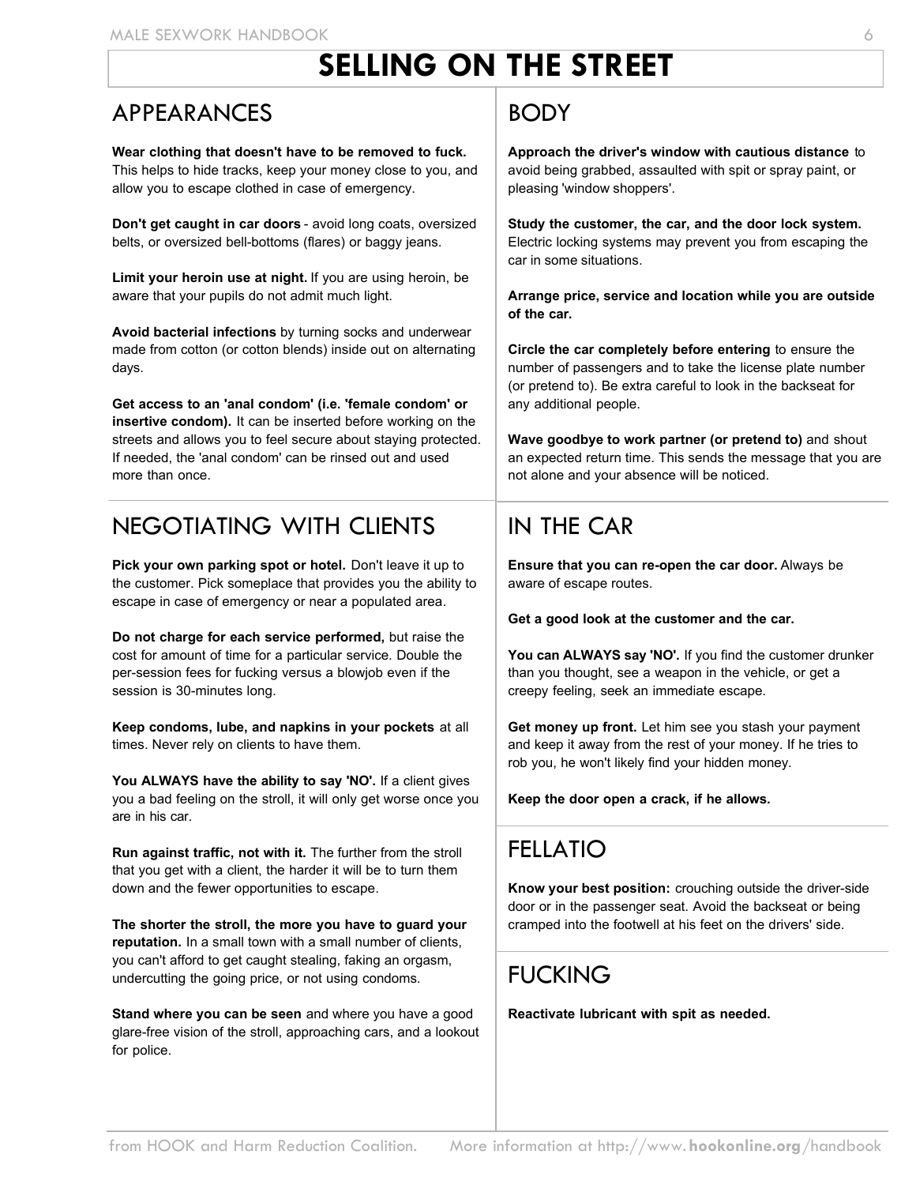# **SELLING ON THE STREET**

#### APPEARANCES

**Wear clothing that doesn't have to be removed to fuck.** This helps to hide tracks, keep your money close to you, and allow you to escape clothed in case of emergency.

**Don't get caught in car doors** - avoid long coats, oversized belts, or oversized bell-bottoms (flares) or baggy jeans.

**Limit your heroin use at night.** If you are using heroin, be aware that your pupils do not admit much light.

**Avoid bacterial infections** by turning socks and underwear made from cotton (or cotton blends) inside out on alternating days.

**Get access to an 'anal condom' (i.e. 'female condom' or insertive condom).** It can be inserted before working on the streets and allows you to feel secure about staying protected. If needed, the 'anal condom' can be rinsed out and used more than once.

### NEGOTIATING WITH CLIENTS

**Pick your own parking spot or hotel.** Don't leave it up to the customer. Pick someplace that provides you the ability to escape in case of emergency or near a populated area.

**Do not charge for each service performed,** but raise the cost for amount of time for a particular service. Double the per-session fees for fucking versus a blowjob even if the session is 30-minutes long.

**Keep condoms, lube, and napkins in your pockets** at all times. Never rely on clients to have them.

You ALWAYS have the ability to say 'NO'. If a client gives you a bad feeling on the stroll, it will only get worse once you are in his car.

**Run against traffic, not with it.** The further from the stroll that you get with a client, the harder it will be to turn them down and the fewer opportunities to escape.

**The shorter the stroll, the more you have to guard your reputation.** In a small town with a small number of clients, you can't afford to get caught stealing, faking an orgasm, undercutting the going price, or not using condoms.

**Stand where you can be seen** and where you have a good glare-free vision of the stroll, approaching cars, and a lookout for police.

#### BODY

**Approach the driver's window with cautious distance** to avoid being grabbed, assaulted with spit or spray paint, or pleasing 'window shoppers'.

**Study the customer, the car, and the door lock system.** Electric locking systems may prevent you from escaping the car in some situations.

**Arrange price, service and location while you are outside of the car.**

**Circle the car completely before entering** to ensure the number of passengers and to take the license plate number (or pretend to). Be extra careful to look in the backseat for any additional people.

**Wave goodbye to work partner (or pretend to)** and shout an expected return time. This sends the message that you are not alone and your absence will be noticed.

### IN THE CAR

**Ensure that you can re-open the car door.** Always be aware of escape routes.

**Get a good look at the customer and the car.** 

**You can ALWAYS say 'NO'.** If you find the customer drunker than you thought, see a weapon in the vehicle, or get a creepy feeling, seek an immediate escape.

**Get money up front.** Let him see you stash your payment and keep it away from the rest of your money. If he tries to rob you, he won't likely find your hidden money.

**Keep the door open a crack, if he allows.**

### FELLATIO

**Know your best position:** crouching outside the driver-side door or in the passenger seat. Avoid the backseat or being cramped into the footwell at his feet on the drivers' side.

### **FUCKING**

**Reactivate lubricant with spit as needed.**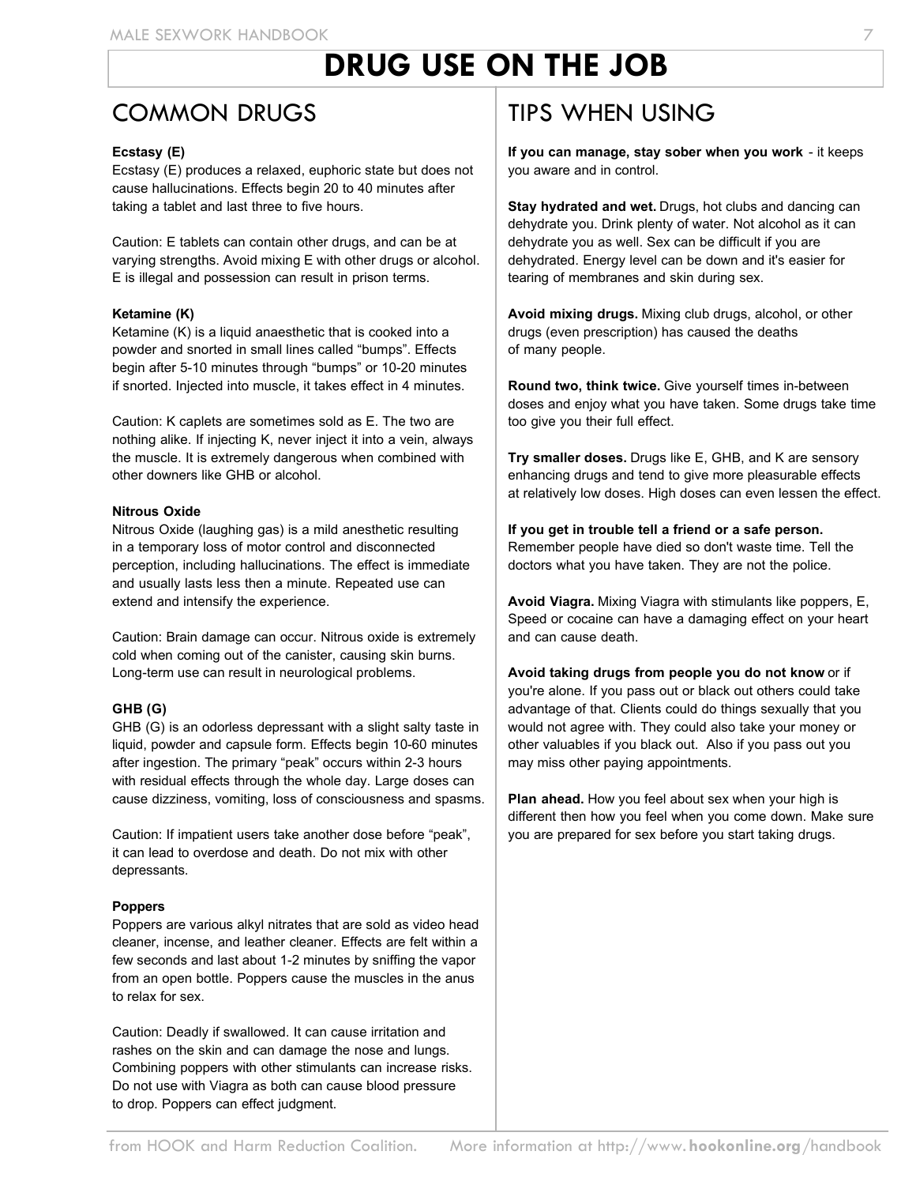# **DRUG USE ON THE JOB**

#### COMMON DRUGS

#### **Ecstasy (E)**

Ecstasy (E) produces a relaxed, euphoric state but does not cause hallucinations. Effects begin 20 to 40 minutes after taking a tablet and last three to five hours.

Caution: E tablets can contain other drugs, and can be at varying strengths. Avoid mixing E with other drugs or alcohol. E is illegal and possession can result in prison terms.

#### **Ketamine (K)**

Ketamine (K) is a liquid anaesthetic that is cooked into a powder and snorted in small lines called "bumps". Effects begin after 5-10 minutes through "bumps" or 10-20 minutes if snorted. Injected into muscle, it takes effect in 4 minutes.

Caution: K caplets are sometimes sold as E. The two are nothing alike. If injecting K, never inject it into a vein, always the muscle. It is extremely dangerous when combined with other downers like GHB or alcohol.

#### **Nitrous Oxide**

Nitrous Oxide (laughing gas) is a mild anesthetic resulting in a temporary loss of motor control and disconnected perception, including hallucinations. The effect is immediate and usually lasts less then a minute. Repeated use can extend and intensify the experience.

Caution: Brain damage can occur. Nitrous oxide is extremely cold when coming out of the canister, causing skin burns. Long-term use can result in neurological problems.

#### **GHB (G)**

GHB (G) is an odorless depressant with a slight salty taste in liquid, powder and capsule form. Effects begin 10-60 minutes after ingestion. The primary "peak" occurs within 2-3 hours with residual effects through the whole day. Large doses can cause dizziness, vomiting, loss of consciousness and spasms.

Caution: If impatient users take another dose before "peak", it can lead to overdose and death. Do not mix with other depressants.

#### **Poppers**

Poppers are various alkyl nitrates that are sold as video head cleaner, incense, and leather cleaner. Effects are felt within a few seconds and last about 1-2 minutes by sniffing the vapor from an open bottle. Poppers cause the muscles in the anus to relax for sex.

Caution: Deadly if swallowed. It can cause irritation and rashes on the skin and can damage the nose and lungs. Combining poppers with other stimulants can increase risks. Do not use with Viagra as both can cause blood pressure to drop. Poppers can effect judgment.

#### TIPS WHEN USING

**If you can manage, stay sober when you work** - it keeps you aware and in control.

**Stay hydrated and wet.** Drugs, hot clubs and dancing can dehydrate you. Drink plenty of water. Not alcohol as it can dehydrate you as well. Sex can be difficult if you are dehydrated. Energy level can be down and it's easier for tearing of membranes and skin during sex.

**Avoid mixing drugs.** Mixing club drugs, alcohol, or other drugs (even prescription) has caused the deaths of many people.

**Round two, think twice.** Give yourself times in-between doses and enjoy what you have taken. Some drugs take time too give you their full effect.

**Try smaller doses.** Drugs like E, GHB, and K are sensory enhancing drugs and tend to give more pleasurable effects at relatively low doses. High doses can even lessen the effect.

**If you get in trouble tell a friend or a safe person.** Remember people have died so don't waste time. Tell the doctors what you have taken. They are not the police.

**Avoid Viagra.** Mixing Viagra with stimulants like poppers, E, Speed or cocaine can have a damaging effect on your heart and can cause death.

**Avoid taking drugs from people you do not know** or if you're alone. If you pass out or black out others could take advantage of that. Clients could do things sexually that you would not agree with. They could also take your money or other valuables if you black out. Also if you pass out you may miss other paying appointments.

**Plan ahead.** How you feel about sex when your high is different then how you feel when you come down. Make sure you are prepared for sex before you start taking drugs.